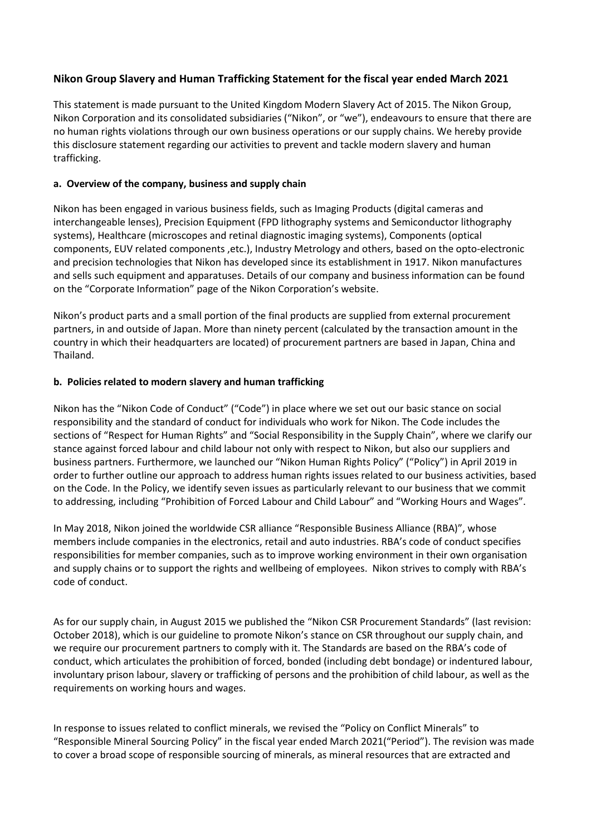# **Nikon Group Slavery and Human Trafficking Statement for the fiscal year ended March 2021**

This statement is made pursuant to the United Kingdom Modern Slavery Act of 2015. The Nikon Group, Nikon Corporation and its consolidated subsidiaries ("Nikon", or "we"), endeavours to ensure that there are no human rights violations through our own business operations or our supply chains. We hereby provide this disclosure statement regarding our activities to prevent and tackle modern slavery and human trafficking.

## **a. Overview of the company, business and supply chain**

Nikon has been engaged in various business fields, such as Imaging Products (digital cameras and interchangeable lenses), Precision Equipment (FPD lithography systems and Semiconductor lithography systems), Healthcare (microscopes and retinal diagnostic imaging systems), Components (optical components, EUV related components ,etc.), Industry Metrology and others, based on the opto-electronic and precision technologies that Nikon has developed since its establishment in 1917. Nikon manufactures and sells such equipment and apparatuses. Details of our company and business information can be found on the "Corporate Information" page of the Nikon Corporation's website.

Nikon's product parts and a small portion of the final products are supplied from external procurement partners, in and outside of Japan. More than ninety percent (calculated by the transaction amount in the country in which their headquarters are located) of procurement partners are based in Japan, China and Thailand.

### **b. Policies related to modern slavery and human trafficking**

Nikon has the "Nikon Code of Conduct" ("Code") in place where we set out our basic stance on social responsibility and the standard of conduct for individuals who work for Nikon. The Code includes the sections of "Respect for Human Rights" and "Social Responsibility in the Supply Chain", where we clarify our stance against forced labour and child labour not only with respect to Nikon, but also our suppliers and business partners. Furthermore, we launched our "Nikon Human Rights Policy" ("Policy") in April 2019 in order to further outline our approach to address human rights issues related to our business activities, based on the Code. In the Policy, we identify seven issues as particularly relevant to our business that we commit to addressing, including "Prohibition of Forced Labour and Child Labour" and "Working Hours and Wages".

In May 2018, Nikon joined the worldwide CSR alliance "Responsible Business Alliance (RBA)", whose members include companies in the electronics, retail and auto industries. RBA's code of conduct specifies responsibilities for member companies, such as to improve working environment in their own organisation and supply chains or to support the rights and wellbeing of employees. Nikon strives to comply with RBA's code of conduct.

As for our supply chain, in August 2015 we published the "Nikon CSR Procurement Standards" (last revision: October 2018), which is our guideline to promote Nikon's stance on CSR throughout our supply chain, and we require our procurement partners to comply with it. The Standards are based on the RBA's code of conduct, which articulates the prohibition of forced, bonded (including debt bondage) or indentured labour, involuntary prison labour, slavery or trafficking of persons and the prohibition of child labour, as well as the requirements on working hours and wages.

In response to issues related to conflict minerals, we revised the "Policy on Conflict Minerals" to "Responsible Mineral Sourcing Policy" in the fiscal year ended March 2021("Period"). The revision was made to cover a broad scope of responsible sourcing of minerals, as mineral resources that are extracted and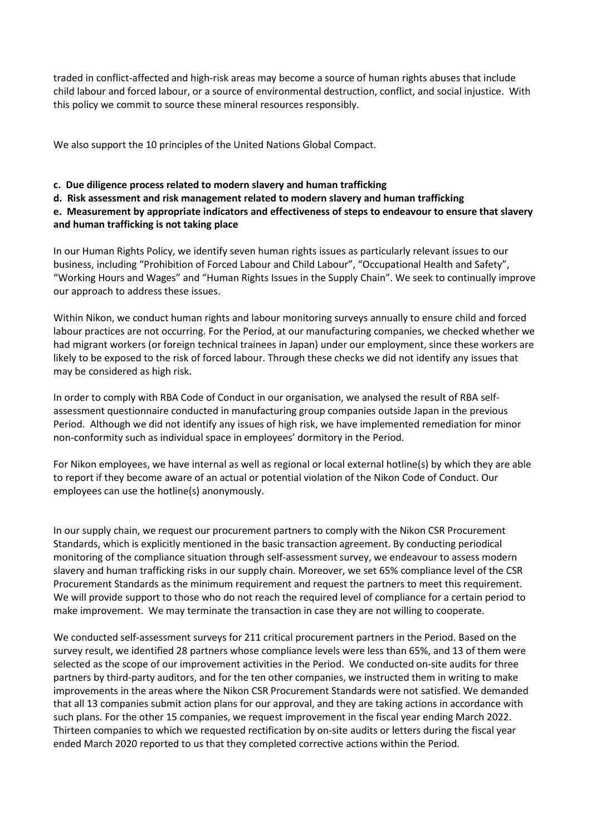traded in conflict-affected and high-risk areas may become a source of human rights abuses that include child labour and forced labour, or a source of environmental destruction, conflict, and social injustice. With this policy we commit to source these mineral resources responsibly.

We also support the 10 principles of the United Nations Global Compact.

### **c. Due diligence process related to modern slavery and human trafficking**

**d. Risk assessment and risk management related to modern slavery and human trafficking**

**e. Measurement by appropriate indicators and effectiveness of steps to endeavour to ensure that slavery and human trafficking is not taking place**

In our Human Rights Policy, we identify seven human rights issues as particularly relevant issues to our business, including "Prohibition of Forced Labour and Child Labour", "Occupational Health and Safety", "Working Hours and Wages" and "Human Rights Issues in the Supply Chain". We seek to continually improve our approach to address these issues.

Within Nikon, we conduct human rights and labour monitoring surveys annually to ensure child and forced labour practices are not occurring. For the Period, at our manufacturing companies, we checked whether we had migrant workers (or foreign technical trainees in Japan) under our employment, since these workers are likely to be exposed to the risk of forced labour. Through these checks we did not identify any issues that may be considered as high risk.

In order to comply with RBA Code of Conduct in our organisation, we analysed the result of RBA selfassessment questionnaire conducted in manufacturing group companies outside Japan in the previous Period. Although we did not identify any issues of high risk, we have implemented remediation for minor non-conformity such as individual space in employees' dormitory in the Period.

For Nikon employees, we have internal as well as regional or local external hotline(s) by which they are able to report if they become aware of an actual or potential violation of the Nikon Code of Conduct. Our employees can use the hotline(s) anonymously.

In our supply chain, we request our procurement partners to comply with the Nikon CSR Procurement Standards, which is explicitly mentioned in the basic transaction agreement. By conducting periodical monitoring of the compliance situation through self-assessment survey, we endeavour to assess modern slavery and human trafficking risks in our supply chain. Moreover, we set 65% compliance level of the CSR Procurement Standards as the minimum requirement and request the partners to meet this requirement. We will provide support to those who do not reach the required level of compliance for a certain period to make improvement. We may terminate the transaction in case they are not willing to cooperate.

We conducted self-assessment surveys for 211 critical procurement partners in the Period. Based on the survey result, we identified 28 partners whose compliance levels were less than 65%, and 13 of them were selected as the scope of our improvement activities in the Period. We conducted on-site audits for three partners by third-party auditors, and for the ten other companies, we instructed them in writing to make improvements in the areas where the Nikon CSR Procurement Standards were not satisfied. We demanded that all 13 companies submit action plans for our approval, and they are taking actions in accordance with such plans. For the other 15 companies, we request improvement in the fiscal year ending March 2022. Thirteen companies to which we requested rectification by on-site audits or letters during the fiscal year ended March 2020 reported to us that they completed corrective actions within the Period.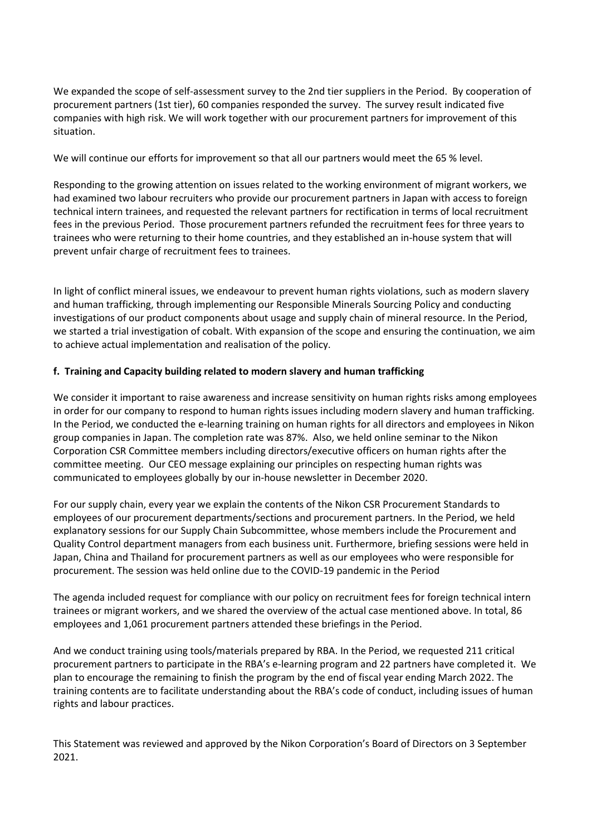We expanded the scope of self-assessment survey to the 2nd tier suppliers in the Period. By cooperation of procurement partners (1st tier), 60 companies responded the survey. The survey result indicated five companies with high risk. We will work together with our procurement partners for improvement of this situation.

We will continue our efforts for improvement so that all our partners would meet the 65 % level.

Responding to the growing attention on issues related to the working environment of migrant workers, we had examined two labour recruiters who provide our procurement partners in Japan with access to foreign technical intern trainees, and requested the relevant partners for rectification in terms of local recruitment fees in the previous Period. Those procurement partners refunded the recruitment fees for three years to trainees who were returning to their home countries, and they established an in-house system that will prevent unfair charge of recruitment fees to trainees.

In light of conflict mineral issues, we endeavour to prevent human rights violations, such as modern slavery and human trafficking, through implementing our Responsible Minerals Sourcing Policy and conducting investigations of our product components about usage and supply chain of mineral resource. In the Period, we started a trial investigation of cobalt. With expansion of the scope and ensuring the continuation, we aim to achieve actual implementation and realisation of the policy.

### **f. Training and Capacity building related to modern slavery and human trafficking**

We consider it important to raise awareness and increase sensitivity on human rights risks among employees in order for our company to respond to human rights issues including modern slavery and human trafficking. In the Period, we conducted the e-learning training on human rights for all directors and employees in Nikon group companies in Japan. The completion rate was 87%. Also, we held online seminar to the Nikon Corporation CSR Committee members including directors/executive officers on human rights after the committee meeting. Our CEO message explaining our principles on respecting human rights was communicated to employees globally by our in-house newsletter in December 2020.

For our supply chain, every year we explain the contents of the Nikon CSR Procurement Standards to employees of our procurement departments/sections and procurement partners. In the Period, we held explanatory sessions for our Supply Chain Subcommittee, whose members include the Procurement and Quality Control department managers from each business unit. Furthermore, briefing sessions were held in Japan, China and Thailand for procurement partners as well as our employees who were responsible for procurement. The session was held online due to the COVID-19 pandemic in the Period

The agenda included request for compliance with our policy on recruitment fees for foreign technical intern trainees or migrant workers, and we shared the overview of the actual case mentioned above. In total, 86 employees and 1,061 procurement partners attended these briefings in the Period.

And we conduct training using tools/materials prepared by RBA. In the Period, we requested 211 critical procurement partners to participate in the RBA's e-learning program and 22 partners have completed it. We plan to encourage the remaining to finish the program by the end of fiscal year ending March 2022. The training contents are to facilitate understanding about the RBA's code of conduct, including issues of human rights and labour practices.

This Statement was reviewed and approved by the Nikon Corporation's Board of Directors on 3 September 2021.